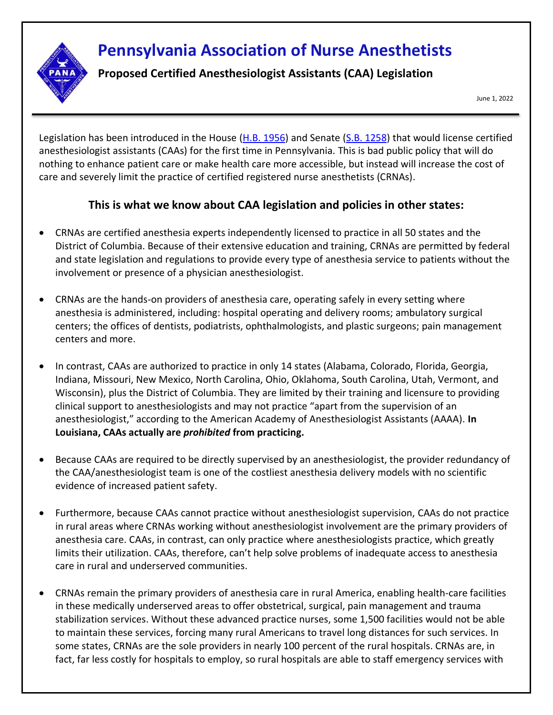## **Pennsylvania Association of Nurse Anesthetists**

**Proposed Certified Anesthesiologist Assistants (CAA) Legislation**

June 1, 2022

Legislation has been introduced in the House [\(H.B. 1956\)](https://www.legis.state.pa.us/cfdocs/billinfo/bill_history.cfm?syear=2021&sind=0&body=H&type=B&bn=1956) and Senate [\(S.B. 1258\)](https://www.legis.state.pa.us/cfdocs/billInfo/billInfo.cfm?sYear=2021&sInd=0&body=S&type=B&bn=1258) that would license certified anesthesiologist assistants (CAAs) for the first time in Pennsylvania. This is bad public policy that will do nothing to enhance patient care or make health care more accessible, but instead will increase the cost of care and severely limit the practice of certified registered nurse anesthetists (CRNAs).

## **This is what we know about CAA legislation and policies in other states:**

- CRNAs are certified anesthesia experts independently licensed to practice in all 50 states and the District of Columbia. Because of their extensive education and training, CRNAs are permitted by federal and state legislation and regulations to provide every type of anesthesia service to patients without the involvement or presence of a physician anesthesiologist.
- CRNAs are the hands-on providers of anesthesia care, operating safely in every setting where anesthesia is administered, including: hospital operating and delivery rooms; ambulatory surgical centers; the offices of dentists, podiatrists, ophthalmologists, and plastic surgeons; pain management centers and more.
- In contrast, CAAs are authorized to practice in only 14 states (Alabama, Colorado, Florida, Georgia, Indiana, Missouri, New Mexico, North Carolina, Ohio, Oklahoma, South Carolina, Utah, Vermont, and Wisconsin), plus the District of Columbia. They are limited by their training and licensure to providing clinical support to anesthesiologists and may not practice "apart from the supervision of an anesthesiologist," according to the American Academy of Anesthesiologist Assistants (AAAA). **In Louisiana, CAAs actually are** *prohibited* **from practicing.**
- Because CAAs are required to be directly supervised by an anesthesiologist, the provider redundancy of the CAA/anesthesiologist team is one of the costliest anesthesia delivery models with no scientific evidence of increased patient safety.
- Furthermore, because CAAs cannot practice without anesthesiologist supervision, CAAs do not practice in rural areas where CRNAs working without anesthesiologist involvement are the primary providers of anesthesia care. CAAs, in contrast, can only practice where anesthesiologists practice, which greatly limits their utilization. CAAs, therefore, can't help solve problems of inadequate access to anesthesia care in rural and underserved communities.
- CRNAs remain the primary providers of anesthesia care in rural America, enabling health-care facilities in these medically underserved areas to offer obstetrical, surgical, pain management and trauma stabilization services. Without these advanced practice nurses, some 1,500 facilities would not be able to maintain these services, forcing many rural Americans to travel long distances for such services. In some states, CRNAs are the sole providers in nearly 100 percent of the rural hospitals. CRNAs are, in fact, far less costly for hospitals to employ, so rural hospitals are able to staff emergency services with